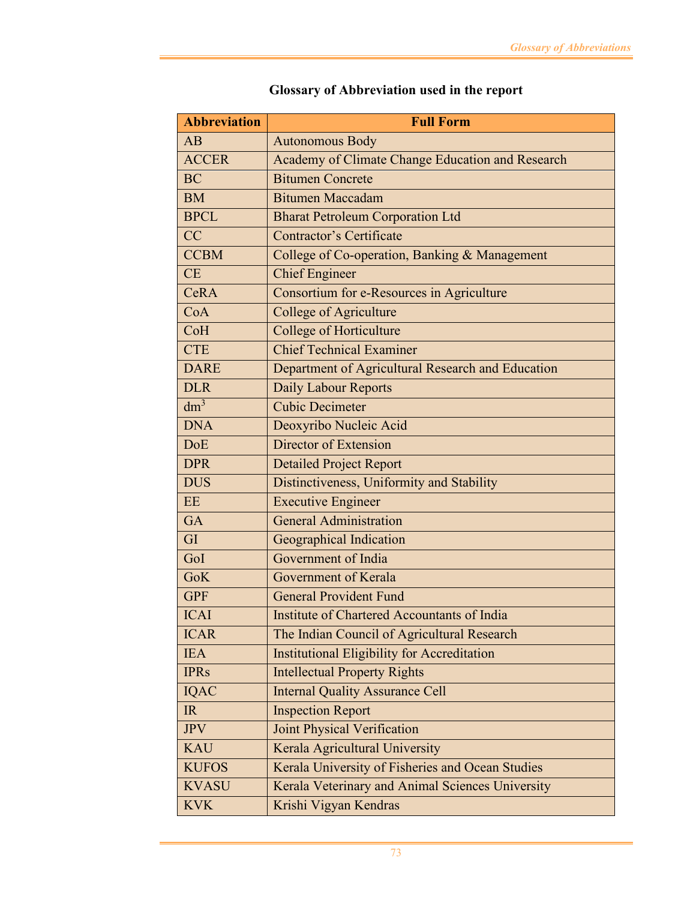| <b>Abbreviation</b> | <b>Full Form</b>                                   |
|---------------------|----------------------------------------------------|
| AB                  | <b>Autonomous Body</b>                             |
| <b>ACCER</b>        | Academy of Climate Change Education and Research   |
| <b>BC</b>           | <b>Bitumen Concrete</b>                            |
| <b>BM</b>           | <b>Bitumen Maccadam</b>                            |
| <b>BPCL</b>         | <b>Bharat Petroleum Corporation Ltd</b>            |
| CC                  | <b>Contractor's Certificate</b>                    |
| <b>CCBM</b>         | College of Co-operation, Banking & Management      |
| CE                  | <b>Chief Engineer</b>                              |
| <b>CeRA</b>         | Consortium for e-Resources in Agriculture          |
| CoA                 | <b>College of Agriculture</b>                      |
| CoH                 | <b>College of Horticulture</b>                     |
| <b>CTE</b>          | <b>Chief Technical Examiner</b>                    |
| <b>DARE</b>         | Department of Agricultural Research and Education  |
| <b>DLR</b>          | Daily Labour Reports                               |
| $dm^3$              | <b>Cubic Decimeter</b>                             |
| <b>DNA</b>          | Deoxyribo Nucleic Acid                             |
| <b>DoE</b>          | Director of Extension                              |
| <b>DPR</b>          | <b>Detailed Project Report</b>                     |
| <b>DUS</b>          | Distinctiveness, Uniformity and Stability          |
| <b>EE</b>           | <b>Executive Engineer</b>                          |
| <b>GA</b>           | <b>General Administration</b>                      |
| GI                  | Geographical Indication                            |
| GoI                 | Government of India                                |
| <b>GoK</b>          | Government of Kerala                               |
| <b>GPF</b>          | <b>General Provident Fund</b>                      |
| <b>ICAI</b>         | Institute of Chartered Accountants of India        |
| <b>ICAR</b>         | The Indian Council of Agricultural Research        |
| <b>IEA</b>          | <b>Institutional Eligibility for Accreditation</b> |
| <b>IPRs</b>         | <b>Intellectual Property Rights</b>                |
| <b>IQAC</b>         | <b>Internal Quality Assurance Cell</b>             |
| IR                  | <b>Inspection Report</b>                           |
| <b>JPV</b>          | <b>Joint Physical Verification</b>                 |
| <b>KAU</b>          | Kerala Agricultural University                     |
| <b>KUFOS</b>        | Kerala University of Fisheries and Ocean Studies   |
| <b>KVASU</b>        | Kerala Veterinary and Animal Sciences University   |
| <b>KVK</b>          | Krishi Vigyan Kendras                              |

## **Glossary of Abbreviation used in the report**